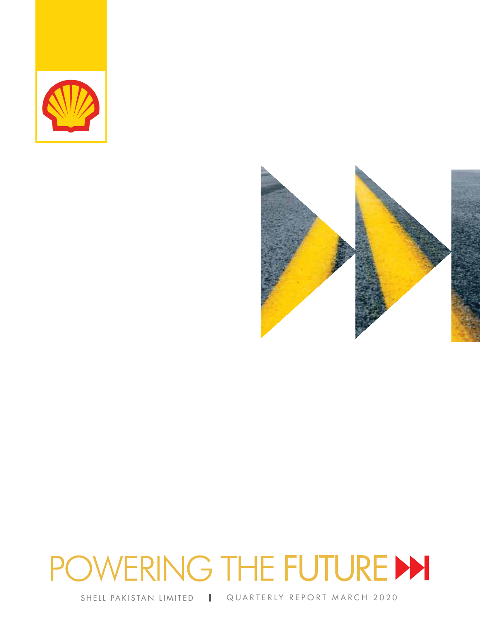



# POWERING THE FUTURE >>

SHELL PAKISTAN LIMITED | QUARTERLY REPORT MARCH 2020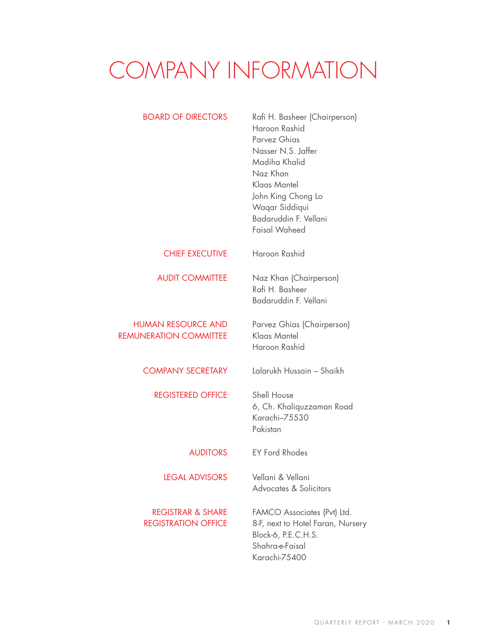## COMPANY INFORMATION

## BOARD OF DIRECTORS Rafi H. Basheer (Chairperson)

Haroon Rashid Parvez Ghias Nasser N.S. Jaffer Madiha Khalid Naz Khan Klaas Mantel John King Chong Lo Waqar Siddiqui Badaruddin F. Vellani Faisal Waheed

## CHIEF EXECUTIVE Haroon Rashid

## AUDIT COMMITTEE Naz Khan (Chairperson)

## HUMAN RESOURCE AND REMUNERATION COMMITTEE

Parvez Ghias (Chairperson) Klaas Mantel Haroon Rashid

COMPANY SECRETARY Lalarukh Hussain – Shaikh

Rafi H. Basheer Badaruddin F. Vellani

REGISTERED OFFICE Shell House 6, Ch. Khaliquzzaman Road Karachi–75530 Pakistan

AUDITORS EY Ford Rhodes

REGISTRAR & SHARE REGISTRATION OFFICE

LEGAL ADVISORS Vellani & Vellani Advocates & Solicitors

> FAMCO Associates (Pvt) Ltd. 8-F, next to Hotel Faran, Nursery Block-6, P.E.C.H.S. Shahra-e-Faisal Karachi-75400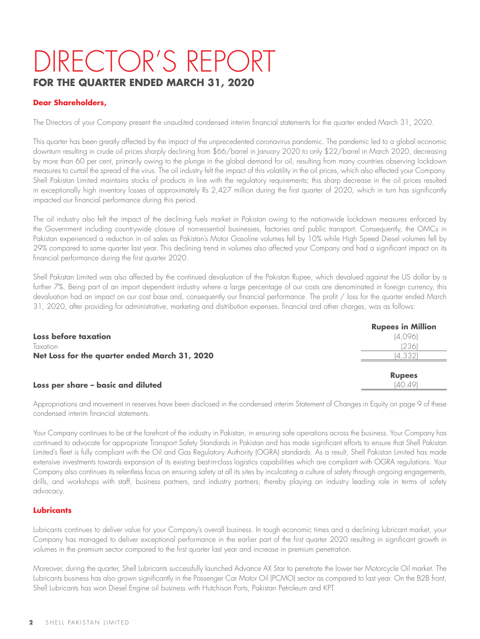## DIRECTOR'S REPORT **FOR THE QUARTER ENDED MARCH 31, 2020**

## **Dear Shareholders,**

The Directors of your Company present the unaudited condensed interim financial statements for the quarter ended March 31, 2020.

This quarter has been greatly affected by the impact of the unprecedented coronavirus pandemic. The pandemic led to a global economic downturn resulting in crude oil prices sharply declining from \$66/barrel in January 2020 to only \$22/barrel in March 2020, decreasing by more than 60 per cent, primarily owing to the plunge in the global demand for oil, resulting from many countries observing lockdown measures to curtail the spread of the virus. The oil industry felt the impact of this volatility in the oil prices, which also effected your Company. Shell Pakistan Limited maintains stocks of products in line with the regulatory requirements; this sharp decrease in the oil prices resulted in exceptionally high inventory losses of approximately Rs 2,427 million during the first quarter of 2020, which in turn has significantly impacted our financial performance during this period.

The oil industry also felt the impact of the declining fuels market in Pakistan owing to the nationwide lockdown measures enforced by the Government including countrywide closure of non-essential businesses, factories and public transport. Consequently, the OMCs in Pakistan experienced a reduction in oil sales as Pakistan's Motor Gasoline volumes fell by 10% while High Speed Diesel volumes fell by 29% compared to same quarter last year. This declining trend in volumes also affected your Company and had a significant impact on its financial performance during the first quarter 2020.

Shell Pakistan Limited was also affected by the continued devaluation of the Pakistan Rupee, which devalued against the US dollar by a further 7%. Being part of an import dependent industry where a large percentage of our costs are denominated in foreign currency, this devaluation had an impact on our cost base and, consequently our financial performance. The profit / loss for the quarter ended March 31, 2020, after providing for administrative, marketing and distribution expenses, financial and other charges, was as follows:

|                                               | <b>Rupees in Million</b> |
|-----------------------------------------------|--------------------------|
| <b>Loss before taxation</b>                   | (4.096)                  |
| Taxation                                      | 12361                    |
| Net Loss for the quarter ended March 31, 2020 | ,4,332'                  |
|                                               |                          |
|                                               | <b>Rupees</b>            |
| Loss per share - basic and diluted            | 140.491                  |

Appropriations and movement in reserves have been disclosed in the condensed interim Statement of Changes in Equity on page 9 of these condensed interim financial statements.

Your Company continues to be at the forefront of the industry in Pakistan, in ensuring safe operations across the business. Your Company has continued to advocate for appropriate Transport Safety Standards in Pakistan and has made significant efforts to ensure that Shell Pakistan Limited's fleet is fully compliant with the Oil and Gas Regulatory Authority (OGRA) standards. As a result, Shell Pakistan Limited has made extensive investments towards expansion of its existing best-in-class logistics capabilities which are compliant with OGRA regulations. Your Company also continues its relentless focus on ensuring safety at all its sites by inculcating a culture of safety through ongoing engagements, drills, and workshops with staff, business partners, and industry partners; thereby playing an industry leading role in terms of safety advocacy.

## **Lubricants**

Lubricants continues to deliver value for your Company's overall business. In tough economic times and a declining lubricant market, your Company has managed to deliver exceptional performance in the earlier part of the first quarter 2020 resulting in significant growth in volumes in the premium sector compared to the first quarter last year and increase in premium penetration.

Moreover, during the quarter, Shell Lubricants successfully launched Advance AX Star to penetrate the lower tier Motorcycle Oil market. The Lubricants business has also grown significantly in the Passenger Car Motor Oil (PCMO) sector as compared to last year. On the B2B front, Shell Lubricants has won Diesel Engine oil business with Hutchison Ports, Pakistan Petroleum and KPT.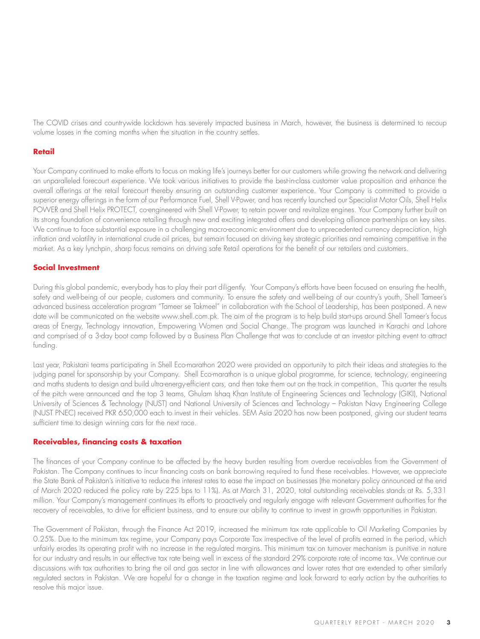The COVID crises and countrywide lockdown has severely impacted business in March, however, the business is determined to recoup volume losses in the coming months when the situation in the country settles.

## **Retail**

Your Company continued to make efforts to focus on making life's journeys better for our customers while growing the network and delivering an unparalleled forecourt experience. We took various initiatives to provide the best-in-class customer value proposition and enhance the overall offerings at the retail forecourt thereby ensuring an outstanding customer experience. Your Company is committed to provide a superior energy offerings in the form of our Performance Fuel, Shell V-Power, and has recently launched our Specialist Motor Oils, Shell Helix POWER and Shell Helix PROTECT, co-engineered with Shell V-Power, to retain power and revitalize engines. Your Company further built on its strong foundation of convenience retailing through new and exciting integrated offers and developing alliance partnerships on key sites. We continue to face substantial exposure in a challenging macro-economic environment due to unprecedented currency depreciation, high inflation and volatility in international crude oil prices, but remain focused on driving key strategic priorities and remaining competitive in the market. As a key lynchpin, sharp focus remains on driving safe Retail operations for the benefit of our retailers and customers.

## **Social Investment**

During this global pandemic, everybody has to play their part diligently. Your Company's efforts have been focused on ensuring the health, safety and well-being of our people, customers and community. To ensure the safety and well-being of our country's youth, Shell Tameer's advanced business acceleration program "Tameer se Takmeel" in collaboration with the School of Leadership, has been postponed. A new date will be communicated on the website www.shell.com.pk. The aim of the program is to help build start-ups around Shell Tameer's focus areas of Energy, Technology innovation, Empowering Women and Social Change. The program was launched in Karachi and Lahore and comprised of a 3-day boot camp followed by a Business Plan Challenge that was to conclude at an investor pitching event to attract funding.

Last year, Pakistani teams participating in Shell Eco-marathon 2020 were provided an opportunity to pitch their ideas and strategies to the judging panel for sponsorship by your Company. Shell Eco-marathon is a unique global programme, for science, technology, engineering and maths students to design and build ultra-energy-efficient cars, and then take them out on the track in competition. This quarter the results of the pitch were announced and the top 3 teams, Ghulam Ishaq Khan Institute of Engineering Sciences and Technology (GIKI), National University of Sciences & Technology (NUST) and National University of Sciences and Technology – Pakistan Navy Engineering College (NUST PNEC) received PKR 650,000 each to invest in their vehicles. SEM Asia 2020 has now been postponed, giving our student teams sufficient time to design winning cars for the next race.

## **Receivables, financing costs & taxation**

The finances of your Company continue to be affected by the heavy burden resulting from overdue receivables from the Government of Pakistan. The Company continues to incur financing costs on bank borrowing required to fund these receivables. However, we appreciate the State Bank of Pakistan's initiative to reduce the interest rates to ease the impact on businesses (the monetary policy announced at the end of March 2020 reduced the policy rate by 225 bps to 11%). As at March 31, 2020, total outstanding receivables stands at Rs. 5,331 million. Your Company's management continues its efforts to proactively and regularly engage with relevant Government authorities for the recovery of receivables, to drive for efficient business, and to ensure our ability to continue to invest in growth opportunities in Pakistan.

The Government of Pakistan, through the Finance Act 2019, increased the minimum tax rate applicable to Oil Marketing Companies by 0.25%. Due to the minimum tax regime, your Company pays Corporate Tax irrespective of the level of profits earned in the period, which unfairly erodes its operating profit with no increase in the regulated margins. This minimum tax on turnover mechanism is punitive in nature for our industry and results in our effective tax rate being well in excess of the standard 29% corporate rate of income tax. We continue our discussions with tax authorities to bring the oil and gas sector in line with allowances and lower rates that are extended to other similarly regulated sectors in Pakistan. We are hopeful for a change in the taxation regime and look forward to early action by the authorities to resolve this major issue.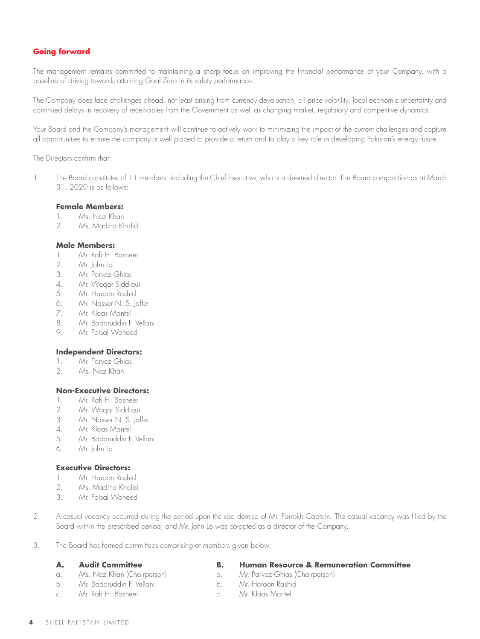## **Going forward**

The management remains committed to maintaining a sharp focus on improving the financial performance of your Company, with a baseline of driving towards attaining Goal Zero in its safety performance.

The Company does face challenges ahead, not least arising from currency devaluation, oil price volatility, local economic uncertainty and continued delays in recovery of receivables from the Government as well as changing market, regulatory and competitive dynamics.

Your Board and the Company's management will continue to actively work to minimizing the impact of the current challenges and capture all opportunities to ensure the company is well placed to provide a return and to play a key role in developing Pakistan's energy future.

The Directors confirm that:

1. The Board constitutes of 11 members, including the Chief Executive, who is a deemed director. The Board composition as at March 31, 2020 is as follows:

### **Female Members:**

- 1. Ms. Naz Khan
- 2. Ms. Madiha Khalid

#### **Male Members:**

- 1. Mr. Rafi H. Basheer
- 2. Mr. John Lo
- 3. Mr. Parvez Ghias
- 4. Mr. Waqar Siddiqui
- 5. Mr. Haroon Rashid
- 6. Mr. Nasser N. S. Jaffer
- 7. Mr. Klaas Mantel
- 8. Mr. Badaruddin F. Vellani
- 9. Mr. Faisal Waheed

### **Independent Directors:**

- 1. Mr. Parvez Ghias
- 2. Ms. Naz Khan

## **Non-Executive Directors:**

- 1. Mr. Rafi H. Basheer
- 2. Mr. Waqar Siddiqui
- 3. Mr. Nasser N. S. Jaffer
- 4. Mr. Klaas Mantel
- 5. Mr. Badaruddin F. Vellani
- 6. Mr. John Lo

#### **Executive Directors:**

- 1 Mr. Haroon Rashid
- 2. Ms. Madiha Khalid
- 3. Mr. Faisal Waheed
- 2. A casual vacancy occurred during the period upon the sad demise of Mr. Farrokh Captain. The casual vacancy was filled by the Board within the prescribed period; and Mr. John Lo was co-opted as a director of the Company.
- 3. The Board has formed committees comprising of members given below:

- 
- b. Mr. Badaruddin F. Vellani **b. Mr. Haroon Rashid**
- c. Mr. Rafi H. Basheer c. Mr. Klaas Mantel

### **A. Audit Committee B. Human Resource & Remuneration Committee**

- a. Ms. Naz Khan (Chairperson) a. Mr. Parvez Ghias (Chairperson)
	-
	-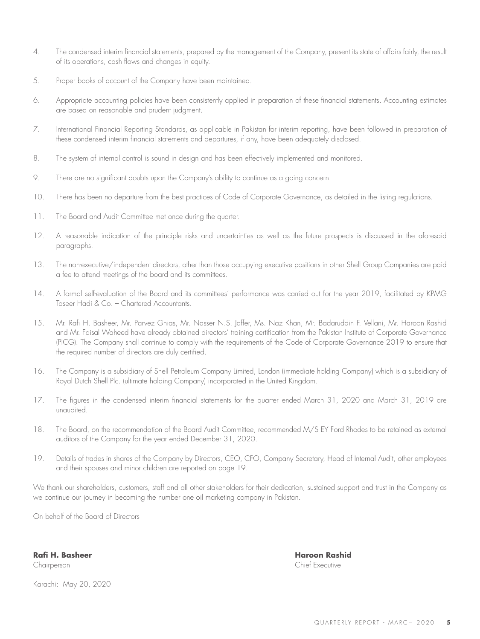- 4. The condensed interim financial statements, prepared by the management of the Company, present its state of affairs fairly, the result of its operations, cash flows and changes in equity.
- 5. Proper books of account of the Company have been maintained.
- 6. Appropriate accounting policies have been consistently applied in preparation of these financial statements. Accounting estimates are based on reasonable and prudent judgment.
- 7. International Financial Reporting Standards, as applicable in Pakistan for interim reporting, have been followed in preparation of these condensed interim financial statements and departures, if any, have been adequately disclosed.
- 8. The system of internal control is sound in design and has been effectively implemented and monitored.
- 9. There are no significant doubts upon the Company's ability to continue as a going concern.
- 10. There has been no departure from the best practices of Code of Corporate Governance, as detailed in the listing regulations.
- 11. The Board and Audit Committee met once during the quarter.
- 12. A reasonable indication of the principle risks and uncertainties as well as the future prospects is discussed in the aforesaid paragraphs.
- 13. The non-executive/independent directors, other than those occupying executive positions in other Shell Group Companies are paid a fee to attend meetings of the board and its committees.
- 14. A formal self-evaluation of the Board and its committees' performance was carried out for the year 2019, facilitated by KPMG Taseer Hadi & Co. – Chartered Accountants.
- 15. Mr. Rafi H. Basheer, Mr. Parvez Ghias, Mr. Nasser N.S. Jaffer, Ms. Naz Khan, Mr. Badaruddin F. Vellani, Mr. Haroon Rashid and Mr. Faisal Waheed have already obtained directors' training certification from the Pakistan Institute of Corporate Governance (PICG). The Company shall continue to comply with the requirements of the Code of Corporate Governance 2019 to ensure that the required number of directors are duly certified.
- 16. The Company is a subsidiary of Shell Petroleum Company Limited, London (immediate holding Company) which is a subsidiary of Royal Dutch Shell Plc. (ultimate holding Company) incorporated in the United Kingdom.
- 17. The figures in the condensed interim financial statements for the quarter ended March 31, 2020 and March 31, 2019 are unaudited.
- 18. The Board, on the recommendation of the Board Audit Committee, recommended M/S EY Ford Rhodes to be retained as external auditors of the Company for the year ended December 31, 2020.
- 19. Details of trades in shares of the Company by Directors, CEO, CFO, Company Secretary, Head of Internal Audit, other employees and their spouses and minor children are reported on page 19.

We thank our shareholders, customers, staff and all other stakeholders for their dedication, sustained support and trust in the Company as we continue our journey in becoming the number one oil marketing company in Pakistan.

On behalf of the Board of Directors

**Rafi H. Basheer Haroon Rashid**

Chairperson Chief Executive

Karachi: May 20, 2020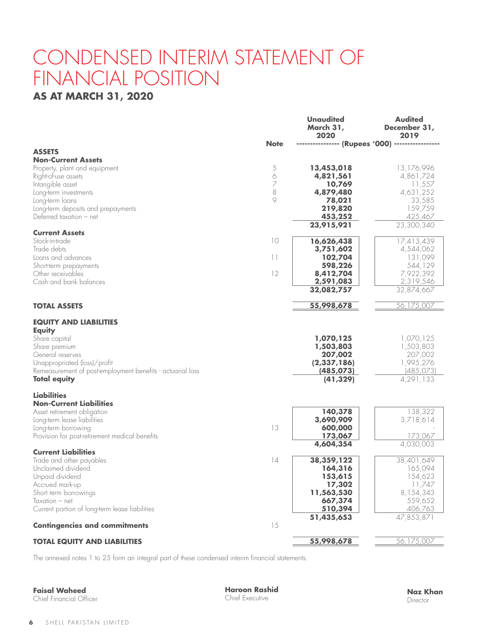## CONDENSED INTERIM STATEMENT OF FINANCIAL POSITION **AS AT MARCH 31, 2020**

|                                                                                                                                                                                                                           |                             | <b>Unaudited</b><br>March 31,<br>2020                                                 | <b>Audited</b><br>December 31,<br>2019                                                |
|---------------------------------------------------------------------------------------------------------------------------------------------------------------------------------------------------------------------------|-----------------------------|---------------------------------------------------------------------------------------|---------------------------------------------------------------------------------------|
|                                                                                                                                                                                                                           | <b>Note</b>                 |                                                                                       | ---------------- (Rupees '000) -----------------                                      |
| <b>ASSETS</b><br><b>Non-Current Assets</b>                                                                                                                                                                                |                             |                                                                                       |                                                                                       |
| Property, plant and equipment<br>Right-of-use assets<br>Intangible asset<br>Long-term investments<br>Long-term loans<br>Long-term deposits and prepayments<br>Deferred taxation - net                                     | 5<br>6<br>7<br>8<br>$\circ$ | 13,453,018<br>4,821,561<br>10,769<br>4,879,480<br>78,021<br>219,820<br>453,252        | 13,176,996<br>4,861,724<br>11,557<br>4,631,252<br>33,585<br>159,759<br>425,467        |
| <b>Current Assets</b>                                                                                                                                                                                                     |                             | 23,915,921                                                                            | 23,300,340                                                                            |
| Stock-in-trade<br>Trade debts<br>Loans and advances<br>Short-term prepayments<br>Other receivables<br>Cash and bank balances                                                                                              | 10<br>$\lceil \rceil$<br>12 | 16,626,438<br>3,751,602<br>102,704<br>598,226<br>8,412,704<br>2,591,083<br>32,082,757 | 17,413,439<br>4,544,062<br>131,099<br>544,129<br>7,922,392<br>2,319,546<br>32,874,667 |
| <b>TOTAL ASSETS</b>                                                                                                                                                                                                       |                             | 55,998,678                                                                            | 56,175,007                                                                            |
| <b>EQUITY AND LIABILITIES</b><br><b>Equity</b><br>Share capital<br>Share premium<br>General reserves<br>Unappropriated (loss)/profit<br>Remeasurement of post-employment benefits - actuarial loss<br><b>Total equity</b> |                             | 1,070,125<br>1,503,803<br>207,002<br>(2,337,186)<br>(485, 073)<br>(41, 329)           | 1,070,125<br>1,503,803<br>207,002<br>1,995,276<br>(485, 073)<br>4,291,133             |
| <b>Liabilities</b>                                                                                                                                                                                                        |                             |                                                                                       |                                                                                       |
| <b>Non-Current Liabilities</b><br>Asset retirement obligation<br>Long-term lease liabilities<br>Long-term borrowing<br>Provision for post-retirement medical benefits                                                     | 13                          | 140,378<br>3,690,909<br>600,000<br>173,067                                            | 138,322<br>3,718,614<br>173,067                                                       |
| <b>Current Liabilities</b>                                                                                                                                                                                                |                             | 4,604,354                                                                             | 4,030,003                                                                             |
| Trade and other payables<br>Unclaimed dividend<br>Unpaid dividend<br>Accrued mark-up<br>Short term borrowings<br>Taxation - net<br>Current portion of long-term lease liabilities                                         | 14                          | 38,359,122<br>164,316<br>153,615<br>17,302<br>11,563,530<br>667,374<br>510,394        | 38,401,649<br>165,094<br>154,623<br>11,747<br>8,154,343<br>559,652<br>406,763         |
| <b>Contingencies and commitments</b>                                                                                                                                                                                      | 15                          | 51,435,653                                                                            | 47,853,871                                                                            |
|                                                                                                                                                                                                                           |                             |                                                                                       |                                                                                       |
| <b>TOTAL EQUITY AND LIABILITIES</b>                                                                                                                                                                                       |                             | 55,998,678                                                                            | 56,175,007                                                                            |

The annexed notes 1 to 25 form an integral part of these condensed interim financial statements.

**Faisal Waheed**

Chief Financial Officer

**Haroon Rashid** Chief Executive

**Naz Khan** Director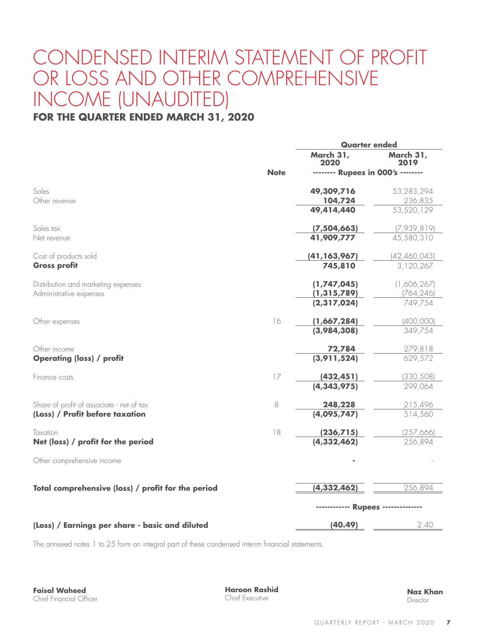## CONDENSED INTERIM STATEMENT OF PROFIT OR LOSS AND OTHER COMPREHENSIVE INCOME (UNAUDITED)

## **FOR THE QUARTER ENDED MARCH 31, 2020**

|                                                    |             | <b>Quarter ended</b>              |                   |  |
|----------------------------------------------------|-------------|-----------------------------------|-------------------|--|
|                                                    |             | March 31,<br>2020                 | March 31,<br>2019 |  |
|                                                    | <b>Note</b> | -------- Rupees in 000's -------- |                   |  |
| Sales                                              |             | 49,309,716                        | 53,283,294        |  |
| Other revenue                                      |             | 104,724                           | 236,835           |  |
|                                                    |             | 49,414,440                        | 53,520,129        |  |
| Sales tax                                          |             | (7,504,663)                       | [7,939,819]       |  |
| Net revenue                                        |             | 41,909,777                        | 45,580,310        |  |
| Cost of products sold                              |             | (41, 163, 967)                    | (42, 460, 043)    |  |
| <b>Gross profit</b>                                |             | 745,810                           | 3,120,267         |  |
| Distribution and marketing expenses                |             | (1,747,045)                       | (1,606,267)       |  |
| Administrative expenses                            |             | (1, 315, 789)                     | (764, 246)        |  |
|                                                    |             | (2, 317, 024)                     | 749,754           |  |
| Other expenses                                     | 16          | (1,667,284)                       | (400,000)         |  |
|                                                    |             | (3,984,308)                       | 349,754           |  |
| Other income                                       |             | 72,784                            | 279,818           |  |
| <b>Operating (loss) / profit</b>                   |             | (3, 911, 524)                     | 629,572           |  |
| Finance costs                                      | 17          | (432, 451)                        | (330, 508)        |  |
|                                                    |             | (4, 343, 975)                     | 299,064           |  |
| Share of profit of associate - net of tax          | 8           | 248,228                           | 215,496           |  |
| (Loss) / Profit before taxation                    |             | (4,095,747)                       | 514,560           |  |
| Taxation                                           | 18          | (236, 715)                        | (257,666)         |  |
| Net (loss) / profit for the period                 |             | (4, 332, 462)                     | 256,894           |  |
| Other comprehensive income                         |             |                                   |                   |  |
| Total comprehensive (loss) / profit for the period |             | (4, 332, 462)                     | 256,894           |  |
|                                                    |             |                                   |                   |  |
| (Loss) / Earnings per share - basic and diluted    |             | (40.49)                           | 2.40              |  |

The annexed notes 1 to 25 form an integral part of these condensed interim financial statements.

**Faisal Waheed** Chief Financial Officer **Haroon Rashid** Chief Executive

**Naz Khan Director**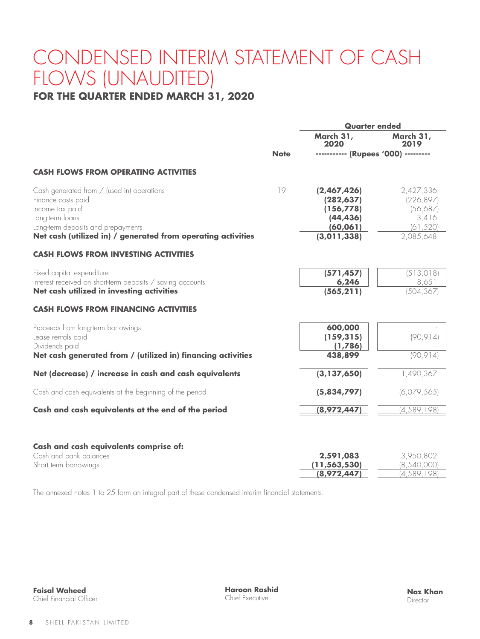## CONDENSED INTERIM STATEMENT OF CASH FLOWS (UNAUDITED)

## **FOR THE QUARTER ENDED MARCH 31, 2020**

|                                                                                                                                                                                                              |             | <b>Quarter ended</b>                                                             |                                                                        |
|--------------------------------------------------------------------------------------------------------------------------------------------------------------------------------------------------------------|-------------|----------------------------------------------------------------------------------|------------------------------------------------------------------------|
|                                                                                                                                                                                                              |             | March 31,<br>2020                                                                | March 31,<br>2019                                                      |
|                                                                                                                                                                                                              | <b>Note</b> | ----------- (Rupees '000) ---------                                              |                                                                        |
| <b>CASH FLOWS FROM OPERATING ACTIVITIES</b>                                                                                                                                                                  |             |                                                                                  |                                                                        |
| Cash generated from / (used in) operations<br>Finance costs paid<br>Income tax paid<br>Long-term loans<br>Long-term deposits and prepayments<br>Net cash (utilized in) / generated from operating activities | 19          | (2,467,426)<br>(282, 637)<br>(156, 778)<br>(44, 436)<br>(60, 061)<br>(3,011,338) | 2,427,336<br>(226, 897)<br>(56,687)<br>3,416<br>(61, 520)<br>2,085,648 |
| <b>CASH FLOWS FROM INVESTING ACTIVITIES</b>                                                                                                                                                                  |             |                                                                                  |                                                                        |
| Fixed capital expenditure<br>Interest received on short-term deposits / saving accounts<br>Net cash utilized in investing activities                                                                         |             | (571, 457)<br>6,246<br>(565, 211)                                                | (513, 018)<br>8,651<br>(504, 367)                                      |
| <b>CASH FLOWS FROM FINANCING ACTIVITIES</b>                                                                                                                                                                  |             |                                                                                  |                                                                        |
| Proceeds from long-term borrowings<br>Lease rentals paid<br>Dividends paid                                                                                                                                   |             | 600,000<br>(159, 315)<br>(1,786)                                                 | (90, 914)                                                              |
| Net cash generated from / (utilized in) financing activities                                                                                                                                                 |             | 438,899                                                                          | (90, 914)                                                              |
| Net (decrease) / increase in cash and cash equivalents                                                                                                                                                       |             | (3, 137, 650)                                                                    | 1,490,367                                                              |
| Cash and cash equivalents at the beginning of the period                                                                                                                                                     |             | (5,834,797)                                                                      | (6,079,565)                                                            |
| Cash and cash equivalents at the end of the period                                                                                                                                                           |             | (8,972,447)                                                                      | (4, 589, 198)                                                          |
| Cash and cash equivalents comprise of:<br>Cash and bank balances<br>Short term borrowings                                                                                                                    |             | 2,591,083<br>(11, 563, 530)                                                      | 3,950,802<br>(8,540,000)                                               |
|                                                                                                                                                                                                              |             | (8,972,447)                                                                      | (4,589,198)                                                            |

The annexed notes 1 to 25 form an integral part of these condensed interim financial statements.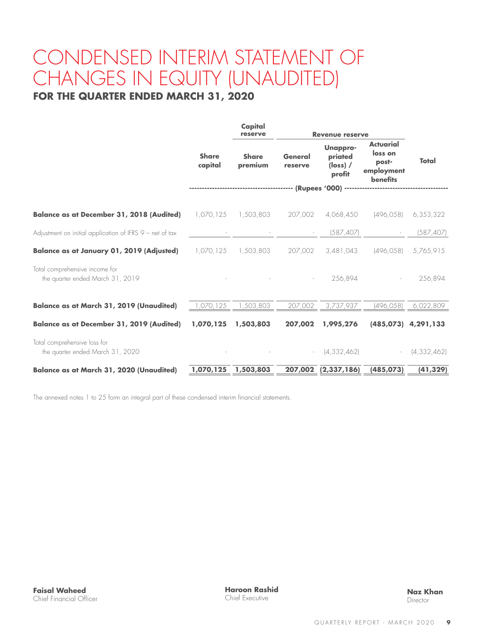## CONDENSED INTERIM STATEMENT OF CHANGES IN EQUITY (UNAUDITED) **FOR THE QUARTER ENDED MARCH 31, 2020**

|                                                                    |                         | Capital<br>reserve      |                           | <b>Revenue reserve</b>                             |                                                                       |                       |
|--------------------------------------------------------------------|-------------------------|-------------------------|---------------------------|----------------------------------------------------|-----------------------------------------------------------------------|-----------------------|
|                                                                    | <b>Share</b><br>capital | <b>Share</b><br>premium | <b>General</b><br>reserve | Unappro-<br>priated<br>$(\text{loss})$ /<br>profit | <b>Actuarial</b><br>loss on<br>post-<br>employment<br><b>benefits</b> | Total                 |
|                                                                    |                         |                         |                           |                                                    |                                                                       |                       |
| <b>Balance as at December 31, 2018 (Audited)</b>                   | 1,070,125               | 1,503,803               | 207,002                   | 4,068,450                                          | (496, 058)                                                            | 6,353,322             |
| Adjustment on initial application of IFRS 9 - net of tax           |                         |                         |                           | (587, 407)                                         |                                                                       | (587, 407)            |
| Balance as at January 01, 2019 (Adjusted)                          | 1,070,125               | 1,503,803               | 207,002                   | 3,481,043                                          | (496, 058)                                                            | 5,765,915             |
| Total comprehensive income for<br>the quarter ended March 31, 2019 |                         |                         |                           | 256,894                                            |                                                                       | 256,894               |
| <b>Balance as at March 31, 2019 (Unaudited)</b>                    | 1,070,125               | 1,503,803               | 207,002                   | 3,737,937                                          | (496, 058)                                                            | 6,022,809             |
| <b>Balance as at December 31, 2019 (Audited)</b>                   | 1.070.125               | 1,503,803               | 207,002                   | 1,995,276                                          |                                                                       | $(485,073)$ 4,291,133 |
| Total comprehensive loss for<br>the quarter ended March 31, 2020   |                         |                         |                           | $ (4,332,462)$                                     |                                                                       | (4, 332, 462)         |
| <b>Balance as at March 31, 2020 (Unaudited)</b>                    | 1,070,125               | 1,503,803               | 207,002                   | (2,337,186)                                        | (485, 073)                                                            | (41, 329)             |

The annexed notes 1 to 25 form an integral part of these condensed interim financial statements.

**Haroon Rashid** Chief Executive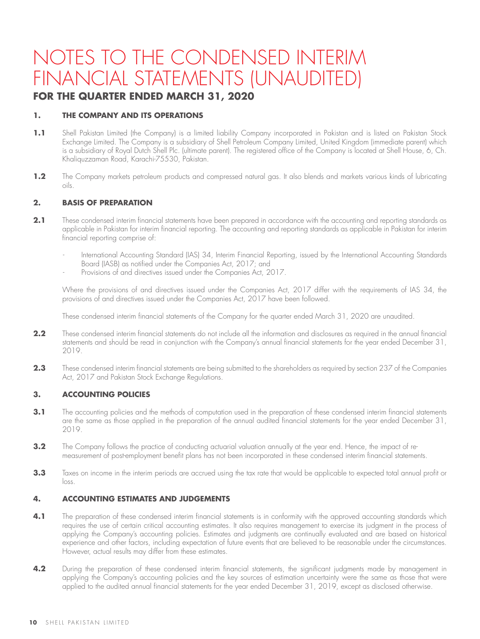## NOTES TO THE CONDENSED INTERIM FINANCIAL STATEMENTS (UNAUDITED)

## **FOR THE QUARTER ENDED MARCH 31, 2020**

## **1. THE COMPANY AND ITS OPERATIONS**

- 1.1 Shell Pakistan Limited (the Company) is a limited liability Company incorporated in Pakistan and is listed on Pakistan Stock Exchange Limited. The Company is a subsidiary of Shell Petroleum Company Limited, United Kingdom (immediate parent) which is a subsidiary of Royal Dutch Shell Plc. (ultimate parent). The registered office of the Company is located at Shell House, 6, Ch. Khaliquzzaman Road, Karachi-75530, Pakistan.
- **1.2** The Company markets petroleum products and compressed natural gas. It also blends and markets various kinds of lubricating oils.

## **2. BASIS OF PREPARATION**

- **2.1** These condensed interim financial statements have been prepared in accordance with the accounting and reporting standards as applicable in Pakistan for interim financial reporting. The accounting and reporting standards as applicable in Pakistan for interim financial reporting comprise of:
	- International Accounting Standard (IAS) 34, Interim Financial Reporting, issued by the International Accounting Standards Board (IASB) as notified under the Companies Act, 2017; and
	- Provisions of and directives issued under the Companies Act, 2017.

Where the provisions of and directives issued under the Companies Act, 2017 differ with the requirements of IAS 34, the provisions of and directives issued under the Companies Act, 2017 have been followed.

These condensed interim financial statements of the Company for the quarter ended March 31, 2020 are unaudited.

- **2.2** These condensed interim financial statements do not include all the information and disclosures as required in the annual financial statements and should be read in conjunction with the Company's annual financial statements for the year ended December 31, 2019.
- **2.3** These condensed interim financial statements are being submitted to the shareholders as required by section 237 of the Companies Act, 2017 and Pakistan Stock Exchange Regulations.

## **3. ACCOUNTING POLICIES**

- **3.1** The accounting policies and the methods of computation used in the preparation of these condensed interim financial statements are the same as those applied in the preparation of the annual audited financial statements for the year ended December 31, 2019.
- **3.2** The Company follows the practice of conducting actuarial valuation annually at the year end. Hence, the impact of remeasurement of post-employment benefit plans has not been incorporated in these condensed interim financial statements.
- **3.3** Taxes on income in the interim periods are accrued using the tax rate that would be applicable to expected total annual profit or loss.

## **4. ACCOUNTING ESTIMATES AND JUDGEMENTS**

- **4.1** The preparation of these condensed interim financial statements is in conformity with the approved accounting standards which requires the use of certain critical accounting estimates. It also requires management to exercise its judgment in the process of applying the Company's accounting policies. Estimates and judgments are continually evaluated and are based on historical experience and other factors, including expectation of future events that are believed to be reasonable under the circumstances. However, actual results may differ from these estimates.
- **4.2** During the preparation of these condensed interim financial statements, the significant judgments made by management in applying the Company's accounting policies and the key sources of estimation uncertainty were the same as those that were applied to the audited annual financial statements for the year ended December 31, 2019, except as disclosed otherwise.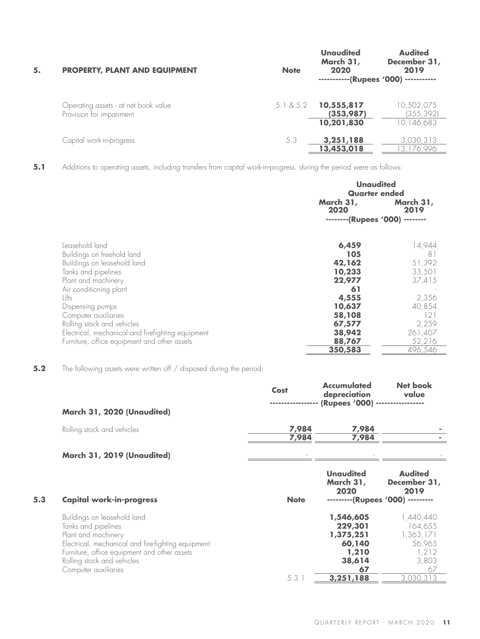| 5. | <b>PROPERTY, PLANT AND EQUIPMENT</b>                             | <b>Note</b> | <b>Unaudited</b><br>March 31,<br>2020<br>-----------(Rupees '000) ----------- | <b>Audited</b><br>December 31,<br>2019 |
|----|------------------------------------------------------------------|-------------|-------------------------------------------------------------------------------|----------------------------------------|
|    | Operating assets - at net book value<br>Provision for impairment | 5.1 & 8.5.2 | 10,555,817<br>(353,987)<br>10,201,830                                         | 10,502,075<br>(355, 392)<br>10,146,683 |
|    | Capital work-in-progress                                         | 5.3         | 3,251,188<br>13,453,018                                                       | 3,030,313<br>13, 176, 996              |

**5.1** Additions to operating assets, including transfers from capital work-in-progress, during the period were as follows:

|                                                   | <b>Unaudited</b><br><b>Quarter ended</b> |                   |  |
|---------------------------------------------------|------------------------------------------|-------------------|--|
|                                                   | March 31,<br>2020                        | March 31,<br>2019 |  |
|                                                   | --------(Rupees '000) --------           |                   |  |
| Leasehold land                                    | 6,459                                    | 14,944            |  |
| Buildings on freehold land                        | 105                                      | 81                |  |
| Buildings on leasehold land                       | 42,162                                   | 51,392            |  |
| Tanks and pipelines                               | 10,233                                   | 33,501            |  |
| Plant and machinery                               | 22,977                                   | 37,415            |  |
| Air conditioning plant                            | 61                                       |                   |  |
| Litts                                             | 4,555                                    | 2,356             |  |
| Dispensing pumps                                  | 10,637                                   | 40,854            |  |
| Computer auxiliaries                              | 58,108                                   | 121               |  |
| Rolling stock and vehicles                        | 67,577                                   | 2,259             |  |
| Electrical, mechanical and firefighting equipment | 38,942                                   | 261,407           |  |
| Furniture, office equipment and other assets      | 88,767                                   | 52,216            |  |
|                                                   | 350,583                                  | 496,546           |  |

## **5.2** The following assets were written off / disposed during the period:

|     | March 31, 2020 (Unaudited)                                                                                                                                                                                                                                               | Cost           | <b>Accumulated</b><br>depreciation<br>(Rupees '000) -----------------                                    | <b>Net book</b><br>value                                            |
|-----|--------------------------------------------------------------------------------------------------------------------------------------------------------------------------------------------------------------------------------------------------------------------------|----------------|----------------------------------------------------------------------------------------------------------|---------------------------------------------------------------------|
|     | Rolling stock and vehicles                                                                                                                                                                                                                                               | 7,984<br>7,984 | 7,984<br>7,984                                                                                           |                                                                     |
|     | March 31, 2019 (Unaudited)                                                                                                                                                                                                                                               |                |                                                                                                          |                                                                     |
|     |                                                                                                                                                                                                                                                                          |                | <b>Unaudited</b><br>March 31,<br>2020                                                                    | <b>Audited</b><br>December 31,<br>2019                              |
| 5.3 | <b>Capital work-in-progress</b><br>Buildings on leasehold land<br>Tanks and pipelines<br>Plant and machinery<br>Electrical, mechanical and fire-fighting equipment<br>Furniture, office equipment and other assets<br>Rolling stock and vehicles<br>Computer auxiliaries | <b>Note</b>    | ---------(Rupees '000) ---------<br>1,546,605<br>229,301<br>1,375,251<br>60,140<br>1,210<br>38,614<br>67 | 1,440,440<br>164,655<br>1,363,171<br>56,965<br>1,212<br>3,803<br>67 |
|     |                                                                                                                                                                                                                                                                          | 5.3.1          | 3,251,188                                                                                                | 3,030,313                                                           |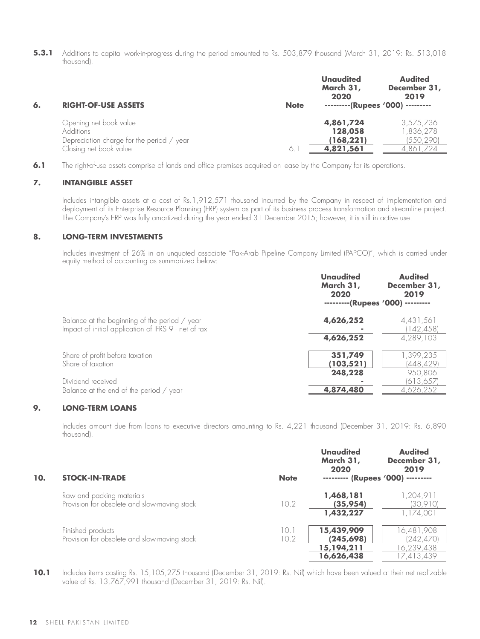**5.3.1** Additions to capital work-in-progress during the period amounted to Rs. 503,879 thousand (March 31, 2019: Rs. 513,018 thousand).

|    |                                            |             | Unaudited<br>March 31,<br>2020   | <b>Audited</b><br>December 31,<br>2019 |
|----|--------------------------------------------|-------------|----------------------------------|----------------------------------------|
| 6. | <b>RIGHT-OF-USE ASSETS</b>                 | <b>Note</b> | ---------(Rupees '000) --------- |                                        |
|    | Opening net book value<br><b>Additions</b> |             | 4,861,724<br>128,058             | 3,575,736<br>1,836,278                 |
|    | Depreciation charge for the period / year  |             | (168, 221)                       | (550, 290)                             |
|    | Closing net book value                     |             | 4,821,561                        | 4,861,724                              |

**6.1** The right-of-use assets comprise of lands and office premises acquired on lease by the Company for its operations.

## **7. INTANGIBLE ASSET**

Includes intangible assets at a cost of Rs.1,912,571 thousand incurred by the Company in respect of implementation and deployment of its Enterprise Resource Planning (ERP) system as part of its business process transformation and streamline project. The Company's ERP was fully amortized during the year ended 31 December 2015; however, it is still in active use.

### **8. LONG-TERM INVESTMENTS**

Includes investment of 26% in an unquoted associate "Pak-Arab Pipeline Company Limited (PAPCO)", which is carried under equity method of accounting as summarized below:

|                                                                                                       | <b>Unaudited</b><br>March 31,<br>2020<br>--(Rupees '000) | <b>Audited</b><br>December 31,<br>2019 |
|-------------------------------------------------------------------------------------------------------|----------------------------------------------------------|----------------------------------------|
| Balance at the beginning of the period / year<br>Impact of initial application of IFRS 9 - net of tax | 4,626,252<br>4,626,252                                   | 4,431,561<br>(142, 458)<br>4,289,103   |
| Share of profit before taxation<br>Share of taxation                                                  | 351,749<br>(103, 521)<br>248,228                         | 1,399,235<br>(448,429)<br>950,806      |
| Dividend received<br>Balance at the end of the period / year                                          | 4,874,480                                                | (613,657)<br>4,626,252                 |

## **9. LONG-TERM LOANS**

Includes amount due from loans to executive directors amounting to Rs. 4,221 thousand (December 31, 2019: Rs. 6,890 thousand).

| 10. | <b>STOCK-IN-TRADE</b>                                                     | <b>Note</b>  | <b>Unaudited</b><br>March 31,<br>2020                | <b>Audited</b><br>December 31,<br>2019<br>--------- (Rupees '000) --------- |
|-----|---------------------------------------------------------------------------|--------------|------------------------------------------------------|-----------------------------------------------------------------------------|
|     | Raw and packing materials<br>Provision for obsolete and slow-moving stock | 10.2         | 1,468,181<br>(35, 954)<br>1,432,227                  | 1,204,911<br>(30,910)<br>1.174.001                                          |
|     | Finished products<br>Provision for obsolete and slow-moving stock         | 10.1<br>10.2 | 15,439,909<br>(245, 698)<br>15,194,211<br>16,626,438 | 16,481,908<br>(242, 470)<br>16,239,438<br>7,413,439                         |

10.1 Includes items costing Rs. 15,105,275 thousand (December 31, 2019: Rs. Nil) which have been valued at their net realizable value of Rs. 13,767,991 thousand (December 31, 2019: Rs. Nil).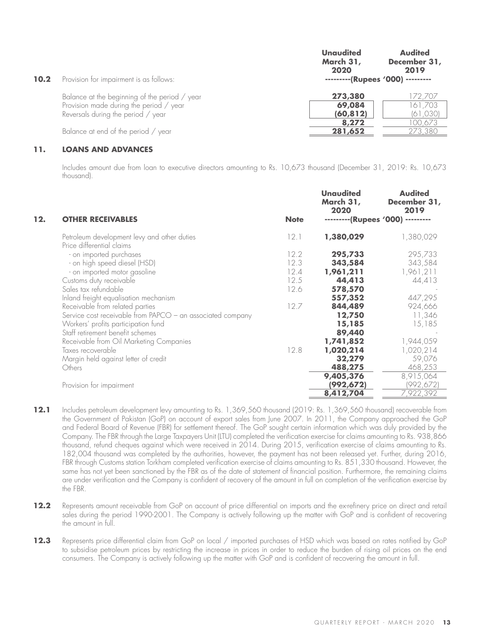|      |                                               | <b>Unaudited</b><br>March 31,<br>2020 | <b>Audited</b><br>December 31,<br>2019 |
|------|-----------------------------------------------|---------------------------------------|----------------------------------------|
| 10.2 | Provision for impairment is as follows:       | ---------(Rupees '000) ---------      |                                        |
|      | Balance at the beginning of the period / year | 273,380                               | 72,707                                 |
|      | Provision made during the period / year       | 69,084                                | 161,703                                |
|      | Reversals during the period / year            | (60, 812)                             | (61,030)                               |
|      |                                               | 8,272                                 | 100,673                                |
|      | Balance at end of the period / year           | 281,652                               | 273,380                                |

### **11. LOANS AND ADVANCES**

Includes amount due from loan to executive directors amounting to Rs. 10,673 thousand (December 31, 2019: Rs. 10,673 thousand).

|     |                                                                          |             | <b>Unaudited</b><br>March 31,<br>2020 | <b>Audited</b><br>December 31,<br>2019 |
|-----|--------------------------------------------------------------------------|-------------|---------------------------------------|----------------------------------------|
| 12. | <b>OTHER RECEIVABLES</b>                                                 | <b>Note</b> |                                       | ---------(Rupees '000) ---------       |
|     | Petroleum development levy and other duties<br>Price differential claims | 12.1        | 1,380,029                             | 1,380,029                              |
|     | - on imported purchases                                                  | 12.2        | 295,733                               | 295,733                                |
|     | - on high speed diesel (HSD)                                             | 12.3        | 343,584                               | 343,584                                |
|     | - on imported motor gasoline                                             | 12.4        | 1,961,211                             | 1,961,211                              |
|     | Customs duty receivable                                                  | 12.5        | 44,413                                | 44,413                                 |
|     | Sales tax refundable                                                     | 12.6        | 578,570                               |                                        |
|     | Inland freight equalisation mechanism                                    |             | 557,352                               | 447,295                                |
|     | Receivable from related parties                                          | 12.7        | 844,489                               | 924,666                                |
|     | Service cost receivable from PAPCO - an associated company               |             | 12,750                                | 11,346                                 |
|     | Workers' profits participation fund                                      |             | 15,185                                | 15,185                                 |
|     | Staff retirement benefit schemes                                         |             | 89,440                                |                                        |
|     | Receivable from Oil Marketing Companies                                  |             | 1,741,852                             | 1,944,059                              |
|     | Taxes recoverable                                                        | 12.8        | 1,020,214                             | 1,020,214                              |
|     | Margin held against letter of credit                                     |             | 32,279                                | 59,076                                 |
|     | Others                                                                   |             | 488,275                               | 468,253                                |
|     |                                                                          |             | 9,405,376                             | 8,915,064                              |
|     | Provision for impairment                                                 |             | (992,672)                             | (992, 672)                             |
|     |                                                                          |             | 8,412,704                             | 7,922,392                              |

- **12.1** Includes petroleum development levy amounting to Rs. 1,369,560 thousand (2019: Rs. 1,369,560 thousand) recoverable from the Government of Pakistan (GoP) on account of export sales from June 2007. In 2011, the Company approached the GoP and Federal Board of Revenue (FBR) for settlement thereof. The GoP sought certain information which was duly provided by the Company. The FBR through the Large Taxpayers Unit (LTU) completed the verification exercise for claims amounting to Rs. 938,866 thousand, refund cheques against which were received in 2014. During 2015, verification exercise of claims amounting to Rs. 182,004 thousand was completed by the authorities, however, the payment has not been released yet. Further, during 2016, FBR through Customs station Torkham completed verification exercise of claims amounting to Rs. 851,330 thousand. However, the same has not yet been sanctioned by the FBR as of the date of statement of financial position. Furthermore, the remaining claims are under verification and the Company is confident of recovery of the amount in full on completion of the verification exercise by the FBR.
- **12.2** Represents amount receivable from GoP on account of price differential on imports and the ex-refinery price on direct and retail sales during the period 1990-2001. The Company is actively following up the matter with GoP and is confident of recovering the amount in full.
- 12.3 Represents price differential claim from GoP on local / imported purchases of HSD which was based on rates notified by GoP to subsidise petroleum prices by restricting the increase in prices in order to reduce the burden of rising oil prices on the end consumers. The Company is actively following up the matter with GoP and is confident of recovering the amount in full.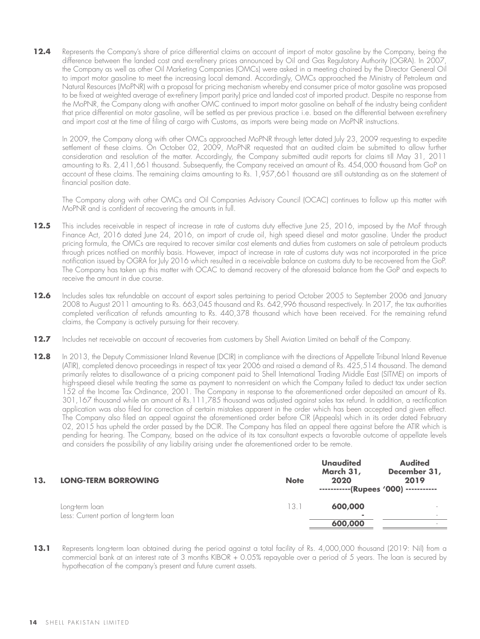**12.4** Represents the Company's share of price differential claims on account of import of motor gasoline by the Company, being the difference between the landed cost and ex-refinery prices announced by Oil and Gas Regulatory Authority (OGRA). In 2007, the Company as well as other Oil Marketing Companies (OMCs) were asked in a meeting chaired by the Director General Oil to import motor gasoline to meet the increasing local demand. Accordingly, OMCs approached the Ministry of Petroleum and Natural Resources (MoPNR) with a proposal for pricing mechanism whereby end consumer price of motor gasoline was proposed to be fixed at weighted average of ex-refinery (import parity) price and landed cost of imported product. Despite no response from the MoPNR, the Company along with another OMC continued to import motor gasoline on behalf of the industry being confident that price differential on motor gasoline, will be settled as per previous practice i.e. based on the differential between ex-refinery and import cost at the time of filing of cargo with Customs, as imports were being made on MoPNR instructions.

In 2009, the Company along with other OMCs approached MoPNR through letter dated July 23, 2009 requesting to expedite settlement of these claims. On October 02, 2009, MoPNR requested that an audited claim be submitted to allow further consideration and resolution of the matter. Accordingly, the Company submitted audit reports for claims till May 31, 2011 amounting to Rs. 2,411,661 thousand. Subsequently, the Company received an amount of Rs. 454,000 thousand from GoP on account of these claims. The remaining claims amounting to Rs. 1,957,661 thousand are still outstanding as on the statement of financial position date.

The Company along with other OMCs and Oil Companies Advisory Council (OCAC) continues to follow up this matter with MoPNR and is confident of recovering the amounts in full.

- 12.5 This includes receivable in respect of increase in rate of customs duty effective June 25, 2016, imposed by the MoF through Finance Act, 2016 dated June 24, 2016, on import of crude oil, high speed diesel and motor gasoline. Under the product pricing formula, the OMCs are required to recover similar cost elements and duties from customers on sale of petroleum products through prices notified on monthly basis. However, impact of increase in rate of customs duty was not incorporated in the price notification issued by OGRA for July 2016 which resulted in a receivable balance on customs duty to be recovered from the GoP. The Company has taken up this matter with OCAC to demand recovery of the aforesaid balance from the GoP and expects to receive the amount in due course.
- **12.6** Includes sales tax refundable on account of export sales pertaining to period October 2005 to September 2006 and January 2008 to August 2011 amounting to Rs. 663,045 thousand and Rs. 642,996 thousand respectively. In 2017, the tax authorities completed verification of refunds amounting to Rs. 440,378 thousand which have been received. For the remaining refund claims, the Company is actively pursuing for their recovery.
- **12.7** Includes net receivable on account of recoveries from customers by Shell Aviation Limited on behalf of the Company.
- 12.8 In 2013, the Deputy Commissioner Inland Revenue (DCIR) in compliance with the directions of Appellate Tribunal Inland Revenue (ATIR), completed denovo proceedings in respect of tax year 2006 and raised a demand of Rs. 425,514 thousand. The demand primarily relates to disallowance of a pricing component paid to Shell International Trading Middle East (SITME) on imports of high-speed diesel while treating the same as payment to non-resident on which the Company failed to deduct tax under section 152 of the Income Tax Ordinance, 2001. The Company in response to the aforementioned order deposited an amount of Rs. 301,167 thousand while an amount of Rs.111,785 thousand was adjusted against sales tax refund. In addition, a rectification application was also filed for correction of certain mistakes apparent in the order which has been accepted and given effect. The Company also filed an appeal against the aforementioned order before CIR (Appeals) which in its order dated February 02, 2015 has upheld the order passed by the DCIR. The Company has filed an appeal there against before the ATIR which is pending for hearing. The Company, based on the advice of its tax consultant expects a favorable outcome of appellate levels and considers the possibility of any liability arising under the aforementioned order to be remote.

| 13. | <b>LONG-TERM BORROWING</b>                                | <b>Note</b> | <b>Unaudited</b><br>March 31,<br>2020 | <b>Audited</b><br>December 31,<br>2019<br>-----------(Rupees '000) ----------- |
|-----|-----------------------------------------------------------|-------------|---------------------------------------|--------------------------------------------------------------------------------|
|     | Long-term loan<br>Less: Current portion of long-term loan | 131         | 600,000                               |                                                                                |
|     |                                                           |             | 600,000                               |                                                                                |

**13.1** Represents long-term loan obtained during the period against a total facility of Rs. 4,000,000 thousand (2019: Nil) from a commercial bank at an interest rate of 3 months KIBOR + 0.05% repayable over a period of 5 years. The loan is secured by hypothecation of the company's present and future current assets.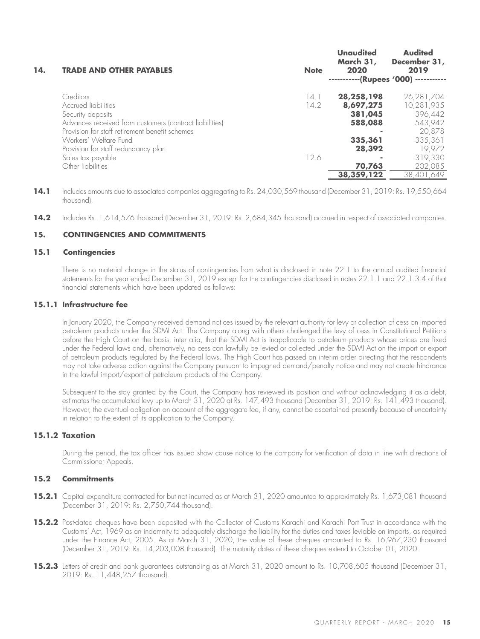| <b>TRADE AND OTHER PAYABLES</b><br>14.                  | <b>Note</b> | <b>Unaudited</b><br>March 31,<br>2020 | <b>Audited</b><br>December 31,<br>2019<br>--(Rupees '000) ----------- |
|---------------------------------------------------------|-------------|---------------------------------------|-----------------------------------------------------------------------|
| Creditors                                               | 14.1        | 28,258,198                            | 26.281.704                                                            |
| Accrued liabilities                                     | 14.2        | 8,697,275                             | 10,281,935                                                            |
| Security deposits                                       |             | 381,045                               | 396.442                                                               |
| Advances received from customers (contract liabilities) |             | 588,088                               | 543,942                                                               |
| Provision for staff retirement benefit schemes          |             |                                       | 20.878                                                                |
| Workers' Welfare Fund                                   |             | 335,361                               | 335.361                                                               |
| Provision for staff redundancy plan                     |             | 28,392                                | 19.972                                                                |
| Sales tax payable                                       | 12.6        |                                       | 319,330                                                               |
| Other liabilities                                       |             | 70,763                                | 202,085                                                               |
|                                                         |             | 38,359,122                            | 38,401,649                                                            |

- **14.1** Includes amounts due to associated companies aggregating to Rs. 24,030,569 thousand (December 31, 2019: Rs. 19,550,664 thousand).
- **14.2** Includes Rs. 1,614,576 thousand (December 31, 2019: Rs. 2,684,345 thousand) accrued in respect of associated companies.

## **15. CONTINGENCIES AND COMMITMENTS**

### **15.1 Contingencies**

There is no material change in the status of contingencies from what is disclosed in note 22.1 to the annual audited financial statements for the year ended December 31, 2019 except for the contingencies disclosed in notes 22.1.1 and 22.1.3.4 of that financial statements which have been updated as follows:

### **15.1.1 Infrastructure fee**

In January 2020, the Company received demand notices issued by the relevant authority for levy or collection of cess on imported petroleum products under the SDMI Act. The Company along with others challenged the levy of cess in Constitutional Petitions before the High Court on the basis, inter alia, that the SDMI Act is inapplicable to petroleum products whose prices are fixed under the Federal laws and, alternatively, no cess can lawfully be levied or collected under the SDMI Act on the import or export of petroleum products regulated by the Federal laws. The High Court has passed an interim order directing that the respondents may not take adverse action against the Company pursuant to impugned demand/penalty notice and may not create hindrance in the lawful import/export of petroleum products of the Company.

Subsequent to the stay granted by the Court, the Company has reviewed its position and without acknowledging it as a debt, estimates the accumulated levy up to March 31, 2020 at Rs. 147,493 thousand (December 31, 2019: Rs. 141,493 thousand). However, the eventual obligation on account of the aggregate fee, if any, cannot be ascertained presently because of uncertainty in relation to the extent of its application to the Company.

### **15.1.2 Taxation**

During the period, the tax officer has issued show cause notice to the company for verification of data in line with directions of Commissioner Appeals.

## **15.2 Commitments**

- **15.2.1** Capital expenditure contracted for but not incurred as at March 31, 2020 amounted to approximately Rs. 1,673,081 thousand (December 31, 2019: Rs. 2,750,744 thousand).
- **15.2.2** Post-dated cheques have been deposited with the Collector of Customs Karachi and Karachi Port Trust in accordance with the Customs' Act, 1969 as an indemnity to adequately discharge the liability for the duties and taxes leviable on imports, as required under the Finance Act, 2005. As at March 31, 2020, the value of these cheques amounted to Rs. 16,967,230 thousand (December 31, 2019: Rs. 14,203,008 thousand). The maturity dates of these cheques extend to October 01, 2020.
- **15.2.3** Letters of credit and bank guarantees outstanding as at March 31, 2020 amount to Rs. 10,708,605 thousand (December 31, 2019: Rs. 11,448,257 thousand).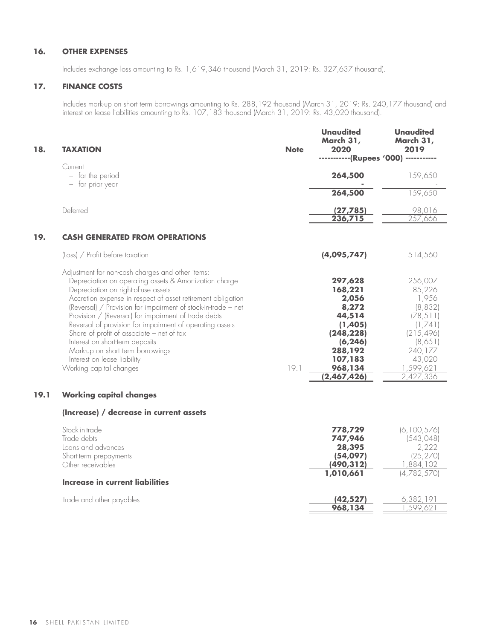## **16. OTHER EXPENSES**

Includes exchange loss amounting to Rs. 1,619,346 thousand (March 31, 2019: Rs. 327,637 thousand).

## **17. FINANCE COSTS**

Includes mark-up on short term borrowings amounting to Rs. 288,192 thousand (March 31, 2019: Rs. 240,177 thousand) and interest on lease liabilities amounting to Rs. 107,183 thousand (March 31, 2019: Rs. 43,020 thousand).

| Current<br>- for the period<br>159,650<br>264,500<br>- for prior year<br>159,650<br>264,500<br>Deferred<br>98,016<br>(27, 785)<br>257,666<br>236,715<br>19.<br><b>CASH GENERATED FROM OPERATIONS</b><br>(Loss) / Profit before taxation<br>(4,095,747)<br>514,560<br>Adjustment for non-cash charges and other items:<br>297,628<br>256,007<br>Depreciation on operating assets & Amortization charge<br>168,221<br>85,226<br>Depreciation on right-of-use assets<br>Accretion expense in respect of asset retirement obligation<br>2,056<br>1,956<br>(Reversal) / Provision for impairment of stock-in-trade - net<br>8,272<br>(8, 832)<br>Provision / (Reversal) for impairment of trade debts<br>44,514<br>(78, 511)<br>Reversal of provision for impairment of operating assets<br>(1,405)<br>(1,741)<br>Share of profit of associate $-$ net of tax<br>(248, 228)<br>(215, 496)<br>Interest on short-term deposits<br>(8,651)<br>(6, 246)<br>Mark-up on short term borrowings<br>288,192<br>240, 177<br>107,183<br>Interest on lease liability<br>43,020<br>19.1<br>968,134<br>1,599,621<br>Working capital changes<br>(2,467,426)<br>2,427,336<br>19.1<br><b>Working capital changes</b><br>(Increase) / decrease in current assets<br>Stock-in-trade<br>(6, 100, 576)<br>778,729<br>Trade debts<br>747,946<br>(543, 048)<br>Loans and advances<br>28,395<br>2,222<br>(25, 270)<br>(54,097)<br>Short-term prepayments<br>Other receivables<br>1,884,102<br>(490, 312)<br>1,010,661<br>(4,782,570)<br><b>Increase in current liabilities</b><br>(42, 527)<br>6,382,191<br>Trade and other payables<br>,599,621<br>968,134 | 18. | <b>TAXATION</b> | <b>Note</b> | <b>Unaudited</b><br>March 31,<br>2020 | <b>Unaudited</b><br><b>March 31,</b><br>2019 |  |
|--------------------------------------------------------------------------------------------------------------------------------------------------------------------------------------------------------------------------------------------------------------------------------------------------------------------------------------------------------------------------------------------------------------------------------------------------------------------------------------------------------------------------------------------------------------------------------------------------------------------------------------------------------------------------------------------------------------------------------------------------------------------------------------------------------------------------------------------------------------------------------------------------------------------------------------------------------------------------------------------------------------------------------------------------------------------------------------------------------------------------------------------------------------------------------------------------------------------------------------------------------------------------------------------------------------------------------------------------------------------------------------------------------------------------------------------------------------------------------------------------------------------------------------------------------------------------------------------------------------------------------|-----|-----------------|-------------|---------------------------------------|----------------------------------------------|--|
|                                                                                                                                                                                                                                                                                                                                                                                                                                                                                                                                                                                                                                                                                                                                                                                                                                                                                                                                                                                                                                                                                                                                                                                                                                                                                                                                                                                                                                                                                                                                                                                                                                |     |                 |             | -----------(Rupees '000) -----------  |                                              |  |
|                                                                                                                                                                                                                                                                                                                                                                                                                                                                                                                                                                                                                                                                                                                                                                                                                                                                                                                                                                                                                                                                                                                                                                                                                                                                                                                                                                                                                                                                                                                                                                                                                                |     |                 |             |                                       |                                              |  |
|                                                                                                                                                                                                                                                                                                                                                                                                                                                                                                                                                                                                                                                                                                                                                                                                                                                                                                                                                                                                                                                                                                                                                                                                                                                                                                                                                                                                                                                                                                                                                                                                                                |     |                 |             |                                       |                                              |  |
|                                                                                                                                                                                                                                                                                                                                                                                                                                                                                                                                                                                                                                                                                                                                                                                                                                                                                                                                                                                                                                                                                                                                                                                                                                                                                                                                                                                                                                                                                                                                                                                                                                |     |                 |             |                                       |                                              |  |
|                                                                                                                                                                                                                                                                                                                                                                                                                                                                                                                                                                                                                                                                                                                                                                                                                                                                                                                                                                                                                                                                                                                                                                                                                                                                                                                                                                                                                                                                                                                                                                                                                                |     |                 |             |                                       |                                              |  |
|                                                                                                                                                                                                                                                                                                                                                                                                                                                                                                                                                                                                                                                                                                                                                                                                                                                                                                                                                                                                                                                                                                                                                                                                                                                                                                                                                                                                                                                                                                                                                                                                                                |     |                 |             |                                       |                                              |  |
|                                                                                                                                                                                                                                                                                                                                                                                                                                                                                                                                                                                                                                                                                                                                                                                                                                                                                                                                                                                                                                                                                                                                                                                                                                                                                                                                                                                                                                                                                                                                                                                                                                |     |                 |             |                                       |                                              |  |
|                                                                                                                                                                                                                                                                                                                                                                                                                                                                                                                                                                                                                                                                                                                                                                                                                                                                                                                                                                                                                                                                                                                                                                                                                                                                                                                                                                                                                                                                                                                                                                                                                                |     |                 |             |                                       |                                              |  |
|                                                                                                                                                                                                                                                                                                                                                                                                                                                                                                                                                                                                                                                                                                                                                                                                                                                                                                                                                                                                                                                                                                                                                                                                                                                                                                                                                                                                                                                                                                                                                                                                                                |     |                 |             |                                       |                                              |  |
|                                                                                                                                                                                                                                                                                                                                                                                                                                                                                                                                                                                                                                                                                                                                                                                                                                                                                                                                                                                                                                                                                                                                                                                                                                                                                                                                                                                                                                                                                                                                                                                                                                |     |                 |             |                                       |                                              |  |
|                                                                                                                                                                                                                                                                                                                                                                                                                                                                                                                                                                                                                                                                                                                                                                                                                                                                                                                                                                                                                                                                                                                                                                                                                                                                                                                                                                                                                                                                                                                                                                                                                                |     |                 |             |                                       |                                              |  |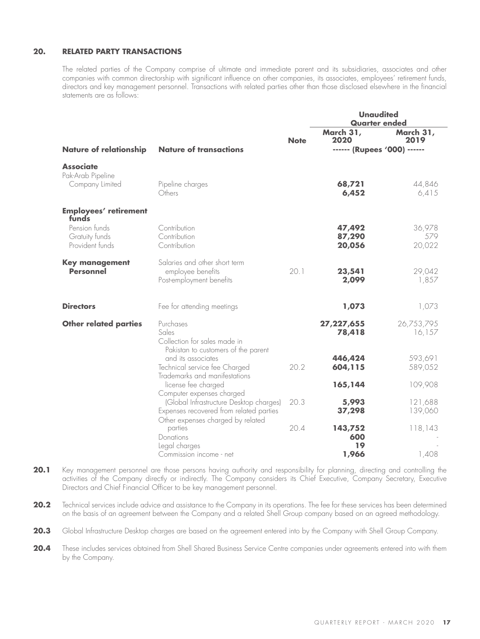## **20. RELATED PARTY TRANSACTIONS**

The related parties of the Company comprise of ultimate and immediate parent and its subsidiaries, associates and other companies with common directorship with significant influence on other companies, its associates, employees' retirement funds, directors and key management personnel. Transactions with related parties other than those disclosed elsewhere in the financial statements are as follows:

|                                                    |                                                                                                                                                                             |             | <b>Unaudited</b><br><b>Quarter ended</b>         |                         |  |
|----------------------------------------------------|-----------------------------------------------------------------------------------------------------------------------------------------------------------------------------|-------------|--------------------------------------------------|-------------------------|--|
| <b>Nature of relationship</b>                      | <b>Nature of transactions</b>                                                                                                                                               | <b>Note</b> | March 31,<br>2020<br>------ (Rupees '000) ------ | March 31,<br>2019       |  |
| <b>Associate</b><br>Pak-Arab Pipeline              |                                                                                                                                                                             |             |                                                  |                         |  |
| Company Limited                                    | Pipeline charges<br>Others                                                                                                                                                  |             | 68,721<br>6,452                                  | 44,846<br>6,415         |  |
| <b>Employees' retirement</b><br>funds              |                                                                                                                                                                             |             |                                                  |                         |  |
| Pension funds<br>Gratuity funds<br>Provident funds | Contribution<br>Contribution<br>Contribution                                                                                                                                |             | 47,492<br>87,290<br>20,056                       | 36,978<br>579<br>20,022 |  |
| <b>Key management</b><br><b>Personnel</b>          | Salaries and other short term<br>employee benefits<br>Post-employment benefits                                                                                              | 20.1        | 23,541<br>2,099                                  | 29,042<br>1,857         |  |
| <b>Directors</b>                                   | Fee for attending meetings                                                                                                                                                  |             | 1,073                                            | 1,073                   |  |
| <b>Other related parties</b>                       | Purchases<br>Sales<br>Collection for sales made in<br>Pakistan to customers of the parent                                                                                   |             | 27,227,655<br>78,418                             | 26,753,795<br>16,157    |  |
|                                                    | and its associates<br>Technical service fee Charged<br>Trademarks and manifestations                                                                                        | 202         | 446,424<br>604,115                               | 593,691<br>589,052      |  |
|                                                    | license fee charged<br>Computer expenses charged<br>(Global Infrastructure Desktop charges)<br>Expenses recovered from related parties<br>Other expenses charged by related |             | 165,144                                          | 109,908                 |  |
|                                                    |                                                                                                                                                                             | 20.3        | 5,993<br>37,298                                  | 121,688<br>139,060      |  |
|                                                    | parties<br>Donations<br>Legal charges                                                                                                                                       | 20.4        | 143,752<br>600<br>19                             | 118,143                 |  |
|                                                    | Commission income - net                                                                                                                                                     |             | 1,966                                            | 1,408                   |  |

- **20.1** Key management personnel are those persons having authority and responsibility for planning, directing and controlling the activities of the Company directly or indirectly. The Company considers its Chief Executive, Company Secretary, Executive Directors and Chief Financial Officer to be key management personnel.
- **20.2** Technical services include advice and assistance to the Company in its operations. The fee for these services has been determined on the basis of an agreement between the Company and a related Shell Group company based on an agreed methodology.
- **20.3** Global Infrastructure Desktop charges are based on the agreement entered into by the Company with Shell Group Company.
- **20.4** These includes services obtained from Shell Shared Business Service Centre companies under agreements entered into with them by the Company.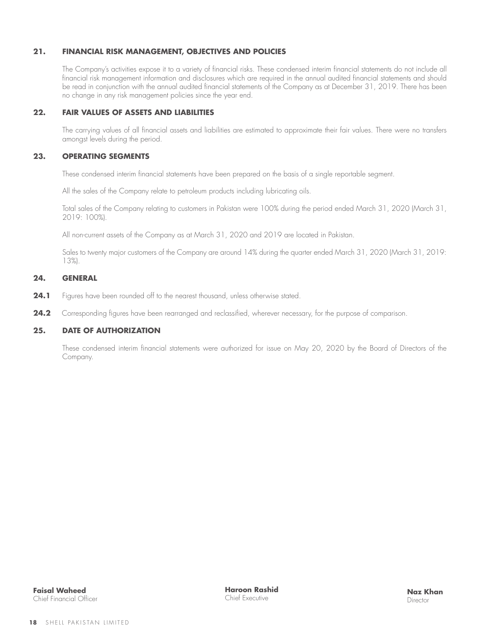## **21. FINANCIAL RISK MANAGEMENT, OBJECTIVES AND POLICIES**

The Company's activities expose it to a variety of financial risks. These condensed interim financial statements do not include all financial risk management information and disclosures which are required in the annual audited financial statements and should be read in conjunction with the annual audited financial statements of the Company as at December 31, 2019. There has been no change in any risk management policies since the year end.

## **22. FAIR VALUES OF ASSETS AND LIABILITIES**

The carrying values of all financial assets and liabilities are estimated to approximate their fair values. There were no transfers amongst levels during the period.

## **23. OPERATING SEGMENTS**

These condensed interim financial statements have been prepared on the basis of a single reportable segment.

All the sales of the Company relate to petroleum products including lubricating oils.

Total sales of the Company relating to customers in Pakistan were 100% during the period ended March 31, 2020 (March 31, 2019: 100%).

All non-current assets of the Company as at March 31, 2020 and 2019 are located in Pakistan.

Sales to twenty major customers of the Company are around 14% during the quarter ended March 31, 2020 (March 31, 2019: 13%).

## **24. GENERAL**

- **24.1** Figures have been rounded off to the nearest thousand, unless otherwise stated.
- **24.2** Corresponding figures have been rearranged and reclassified, wherever necessary, for the purpose of comparison.

## **25. DATE OF AUTHORIZATION**

These condensed interim financial statements were authorized for issue on May 20, 2020 by the Board of Directors of the Company.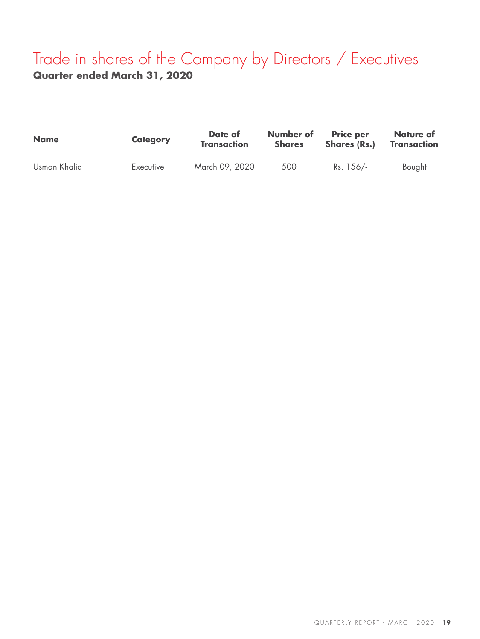## Trade in shares of the Company by Directors / Executives **Quarter ended March 31, 2020**

| <b>Name</b>  | <b>Category</b> | Date of<br><b>Transaction</b> | Number of<br><b>Shares</b> | <b>Price per</b><br><b>Shares (Rs.)</b> | <b>Nature of</b><br><b>Transaction</b> |
|--------------|-----------------|-------------------------------|----------------------------|-----------------------------------------|----------------------------------------|
| Usman Khalid | Executive       | March 09, 2020                | 500                        | Rs. 156/-                               | Bought                                 |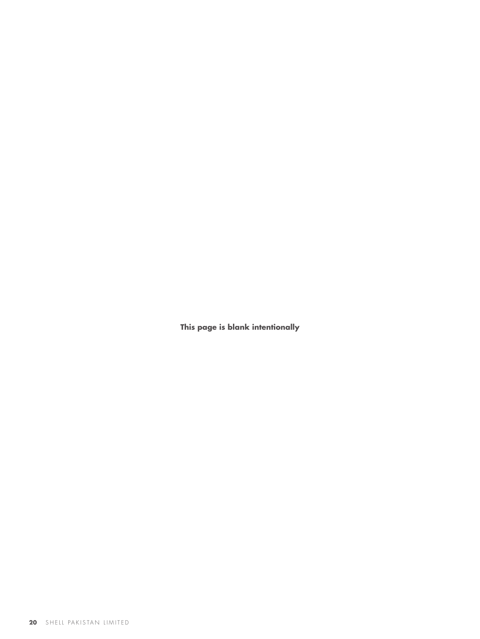**This page is blank intentionally**